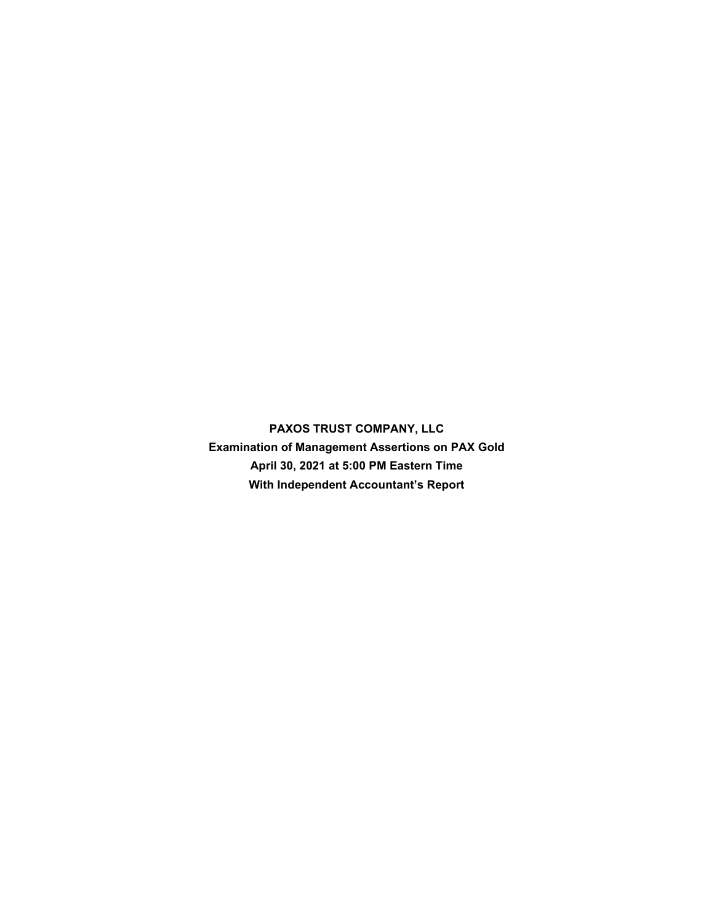**PAXOS TRUST COMPANY, LLC Examination of Management Assertions on PAX Gold April 30, 2021 at 5:00 PM Eastern Time With Independent Accountant's Report**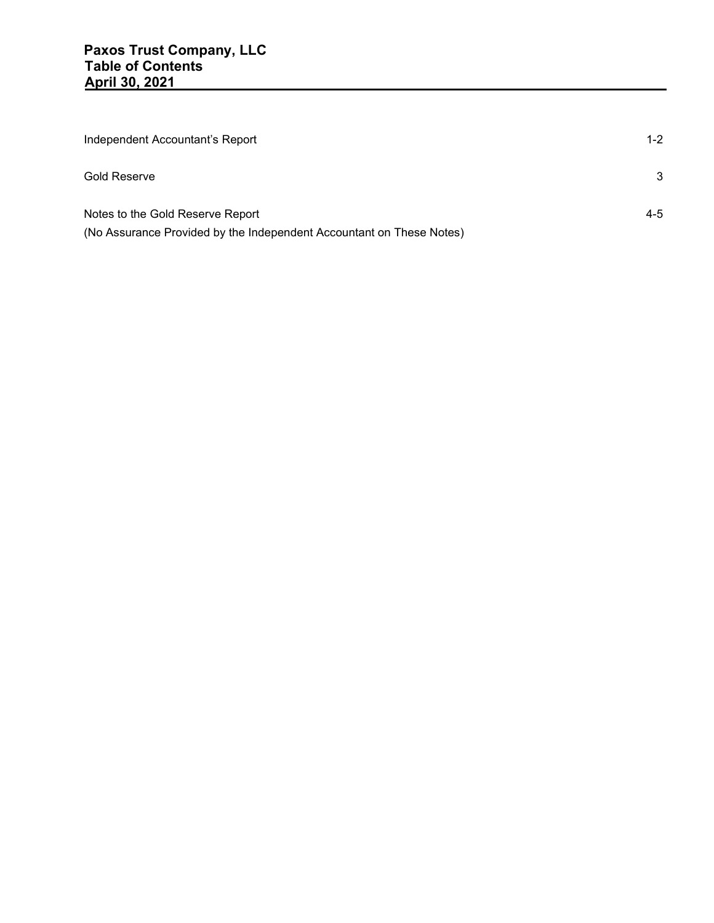| Independent Accountant's Report                                      | $1 - 2$ |
|----------------------------------------------------------------------|---------|
| Gold Reserve                                                         | 3       |
| Notes to the Gold Reserve Report                                     | 4-5     |
| (No Assurance Provided by the Independent Accountant on These Notes) |         |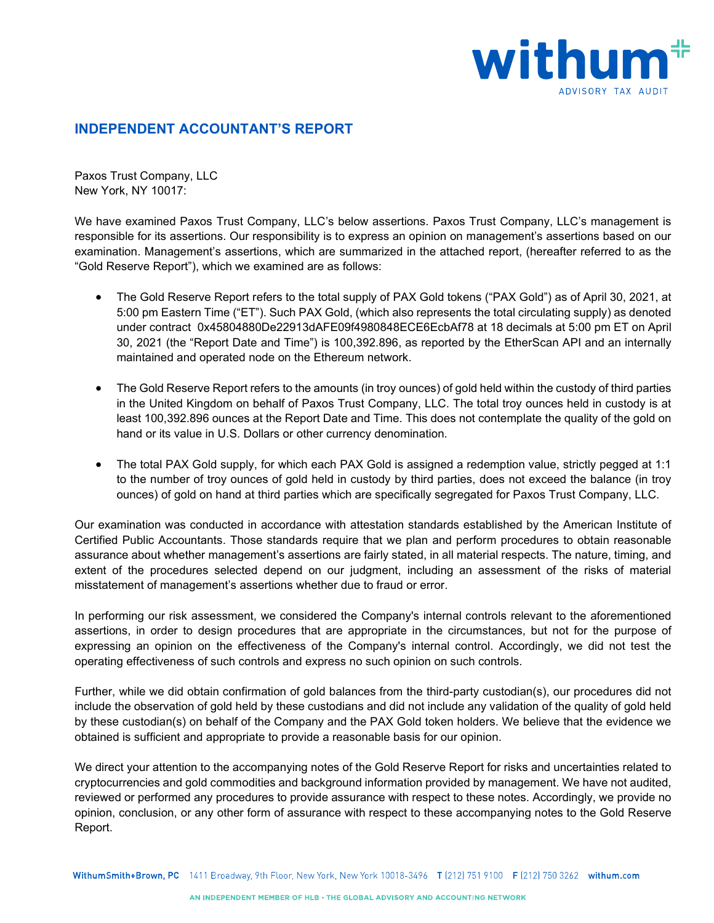

## **INDEPENDENT ACCOUNTANT'S REPORT**

Paxos Trust Company, LLC New York, NY 10017:

We have examined Paxos Trust Company, LLC's below assertions. Paxos Trust Company, LLC's management is responsible for its assertions. Our responsibility is to express an opinion on management's assertions based on our examination. Management's assertions, which are summarized in the attached report, (hereafter referred to as the "Gold Reserve Report"), which we examined are as follows:

- The Gold Reserve Report refers to the total supply of PAX Gold tokens ("PAX Gold") as of April 30, 2021, at 5:00 pm Eastern Time ("ET"). Such PAX Gold, (which also represents the total circulating supply) as denoted under contract [0x45804880De22913dAFE09f4980848ECE6EcbAf78](https://etherscan.io/address/0x8e870d67f660d95d5be530380d0ec0bd388289e1) at 18 decimals at 5:00 pm ET on April 30, 2021 (the "Report Date and Time") is 100,392.896, as reported by the EtherScan API and an internally maintained and operated node on the Ethereum network.
- The Gold Reserve Report refers to the amounts (in troy ounces) of gold held within the custody of third parties in the United Kingdom on behalf of Paxos Trust Company, LLC. The total troy ounces held in custody is at least 100,392.896 ounces at the Report Date and Time. This does not contemplate the quality of the gold on hand or its value in U.S. Dollars or other currency denomination.
- The total PAX Gold supply, for which each PAX Gold is assigned a redemption value, strictly pegged at 1:1 to the number of troy ounces of gold held in custody by third parties, does not exceed the balance (in troy ounces) of gold on hand at third parties which are specifically segregated for Paxos Trust Company, LLC.

Our examination was conducted in accordance with attestation standards established by the American Institute of Certified Public Accountants. Those standards require that we plan and perform procedures to obtain reasonable assurance about whether management's assertions are fairly stated, in all material respects. The nature, timing, and extent of the procedures selected depend on our judgment, including an assessment of the risks of material misstatement of management's assertions whether due to fraud or error.

In performing our risk assessment, we considered the Company's internal controls relevant to the aforementioned assertions, in order to design procedures that are appropriate in the circumstances, but not for the purpose of expressing an opinion on the effectiveness of the Company's internal control. Accordingly, we did not test the operating effectiveness of such controls and express no such opinion on such controls.

Further, while we did obtain confirmation of gold balances from the third-party custodian(s), our procedures did not include the observation of gold held by these custodians and did not include any validation of the quality of gold held by these custodian(s) on behalf of the Company and the PAX Gold token holders. We believe that the evidence we obtained is sufficient and appropriate to provide a reasonable basis for our opinion.

We direct your attention to the accompanying notes of the Gold Reserve Report for risks and uncertainties related to cryptocurrencies and gold commodities and background information provided by management. We have not audited, reviewed or performed any procedures to provide assurance with respect to these notes. Accordingly, we provide no opinion, conclusion, or any other form of assurance with respect to these accompanying notes to the Gold Reserve Report.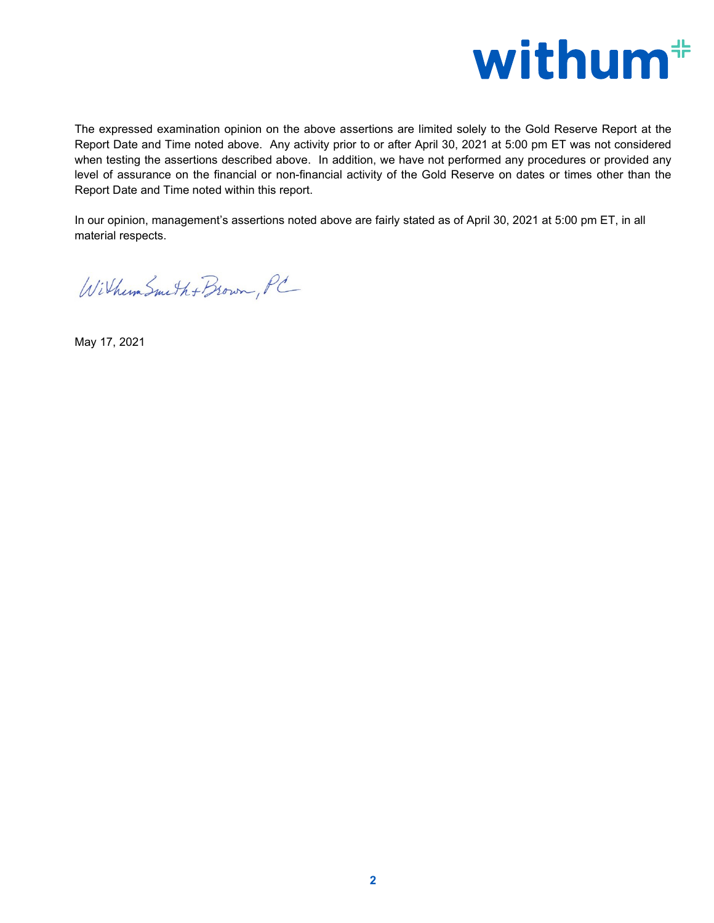

The expressed examination opinion on the above assertions are limited solely to the Gold Reserve Report at the Report Date and Time noted above. Any activity prior to or after April 30, 2021 at 5:00 pm ET was not considered when testing the assertions described above. In addition, we have not performed any procedures or provided any level of assurance on the financial or non-financial activity of the Gold Reserve on dates or times other than the Report Date and Time noted within this report.

In our opinion, management's assertions noted above are fairly stated as of April 30, 2021 at 5:00 pm ET, in all material respects.

Withum Smith + Brown, PC

May 17, 2021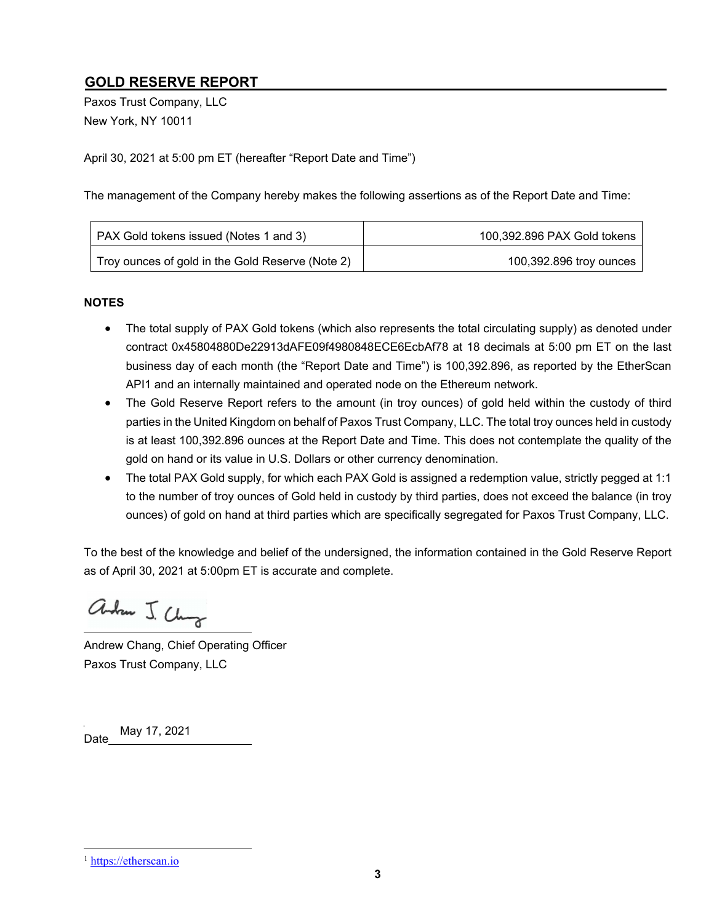# **GOLD RESERVE REPORT**

Paxos Trust Company, LLC New York, NY 10011

April 30, 2021 at 5:00 pm ET (hereafter "Report Date and Time")

The management of the Company hereby makes the following assertions as of the Report Date and Time:

| <b>PAX Gold tokens issued (Notes 1 and 3)</b>    | 100,392.896 PAX Gold tokens |
|--------------------------------------------------|-----------------------------|
| Troy ounces of gold in the Gold Reserve (Note 2) | 100,392.896 troy ounces     |

#### **NOTES**

- The total supply of PAX Gold tokens (which also represents the total circulating supply) as denoted under contract 0x45804880De22913dAFE09f4980848ECE6EcbAf78 at 18 decimals at 5:00 pm ET on the last business day of each month (the "Report Date and Time") is 100,392.896, as reported by the EtherScan API1 and an internally maintained and operated node on the Ethereum network.
- The Gold Reserve Report refers to the amount (in troy ounces) of gold held within the custody of third parties in the United Kingdom on behalf of Paxos Trust Company, LLC. The total troy ounces held in custody is at least 100,392.896 ounces at the Report Date and Time. This does not contemplate the quality of the gold on hand or its value in U.S. Dollars or other currency denomination.
- The total PAX Gold supply, for which each PAX Gold is assigned a redemption value, strictly pegged at 1:1 to the number of troy ounces of Gold held in custody by third parties, does not exceed the balance (in troy ounces) of gold on hand at third parties which are specifically segregated for Paxos Trust Company, LLC.

To the best of the knowledge and belief of the undersigned, the information contained in the Gold Reserve Report as of April 30, 2021 at 5:00pm ET is accurate and complete.

andrew J. Chung

Andrew Chang, Chief Operating Officer Paxos Trust Company, LLC

Date May 17, 2021

<sup>&</sup>lt;sup>1</sup> https://etherscan.io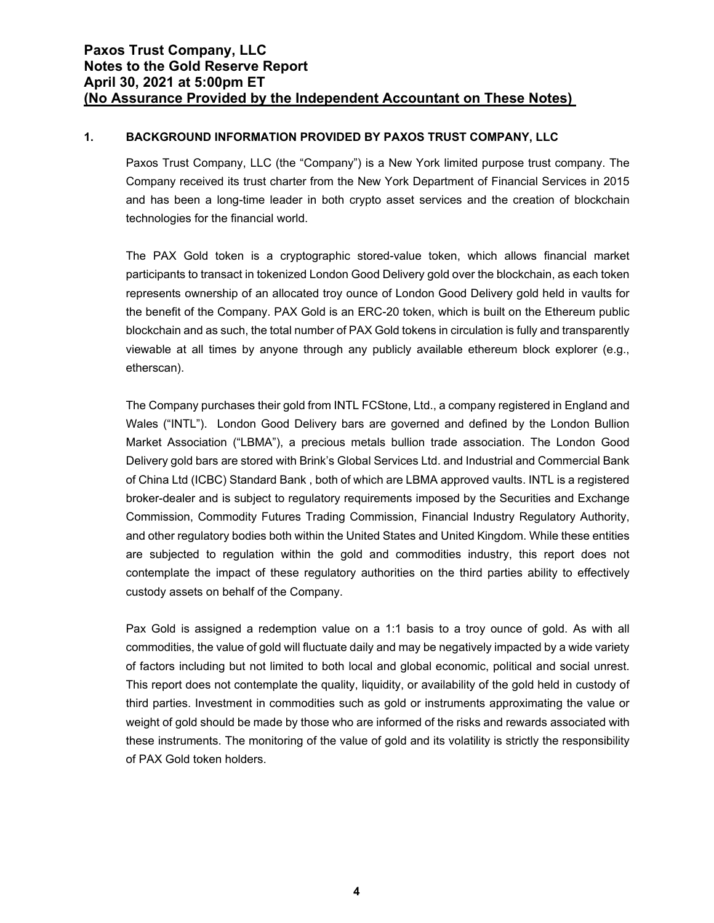### **1. BACKGROUND INFORMATION PROVIDED BY PAXOS TRUST COMPANY, LLC**

Paxos Trust Company, LLC (the "Company") is a New York limited purpose trust company. The Company received its trust charter from the New York Department of Financial Services in 2015 and has been a long-time leader in both crypto asset services and the creation of blockchain technologies for the financial world.

The PAX Gold token is a cryptographic stored-value token, which allows financial market participants to transact in tokenized London Good Delivery gold over the blockchain, as each token represents ownership of an allocated troy ounce of London Good Delivery gold held in vaults for the benefit of the Company. PAX Gold is an ERC-20 token, which is built on the Ethereum public blockchain and as such, the total number of PAX Gold tokens in circulation is fully and transparently viewable at all times by anyone through any publicly available ethereum block explorer (e.g., etherscan).

The Company purchases their gold from INTL FCStone, Ltd., a company registered in England and Wales ("INTL"). London Good Delivery bars are governed and defined by the London Bullion Market Association ("LBMA"), a precious metals bullion trade association. The London Good Delivery gold bars are stored with Brink's Global Services Ltd. and Industrial and Commercial Bank of China Ltd (ICBC) Standard Bank , both of which are LBMA approved vaults. INTL is a registered broker-dealer and is subject to regulatory requirements imposed by the Securities and Exchange Commission, Commodity Futures Trading Commission, Financial Industry Regulatory Authority, and other regulatory bodies both within the United States and United Kingdom. While these entities are subjected to regulation within the gold and commodities industry, this report does not contemplate the impact of these regulatory authorities on the third parties ability to effectively custody assets on behalf of the Company.

Pax Gold is assigned a redemption value on a 1:1 basis to a troy ounce of gold. As with all commodities, the value of gold will fluctuate daily and may be negatively impacted by a wide variety of factors including but not limited to both local and global economic, political and social unrest. This report does not contemplate the quality, liquidity, or availability of the gold held in custody of third parties. Investment in commodities such as gold or instruments approximating the value or weight of gold should be made by those who are informed of the risks and rewards associated with these instruments. The monitoring of the value of gold and its volatility is strictly the responsibility of PAX Gold token holders.